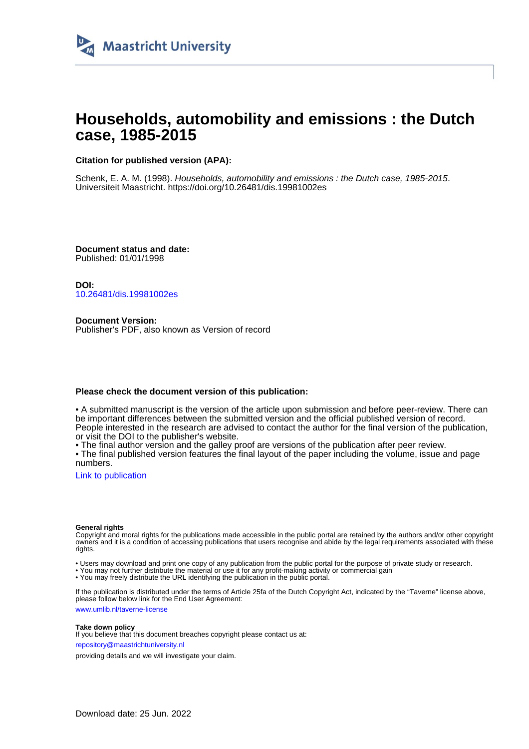

# **Households, automobility and emissions : the Dutch case, 1985-2015**

## **Citation for published version (APA):**

Schenk, E. A. M. (1998). Households, automobility and emissions : the Dutch case, 1985-2015. Universiteit Maastricht. <https://doi.org/10.26481/dis.19981002es>

**Document status and date:** Published: 01/01/1998

**DOI:** [10.26481/dis.19981002es](https://doi.org/10.26481/dis.19981002es)

**Document Version:** Publisher's PDF, also known as Version of record

### **Please check the document version of this publication:**

• A submitted manuscript is the version of the article upon submission and before peer-review. There can be important differences between the submitted version and the official published version of record. People interested in the research are advised to contact the author for the final version of the publication, or visit the DOI to the publisher's website.

• The final author version and the galley proof are versions of the publication after peer review.

• The final published version features the final layout of the paper including the volume, issue and page numbers.

[Link to publication](https://cris.maastrichtuniversity.nl/en/publications/53a0eff8-82d3-4ec7-bc7a-2d4325bac515)

#### **General rights**

Copyright and moral rights for the publications made accessible in the public portal are retained by the authors and/or other copyright owners and it is a condition of accessing publications that users recognise and abide by the legal requirements associated with these rights.

• Users may download and print one copy of any publication from the public portal for the purpose of private study or research.

• You may not further distribute the material or use it for any profit-making activity or commercial gain

• You may freely distribute the URL identifying the publication in the public portal.

If the publication is distributed under the terms of Article 25fa of the Dutch Copyright Act, indicated by the "Taverne" license above, please follow below link for the End User Agreement:

www.umlib.nl/taverne-license

#### **Take down policy**

If you believe that this document breaches copyright please contact us at: repository@maastrichtuniversity.nl

providing details and we will investigate your claim.